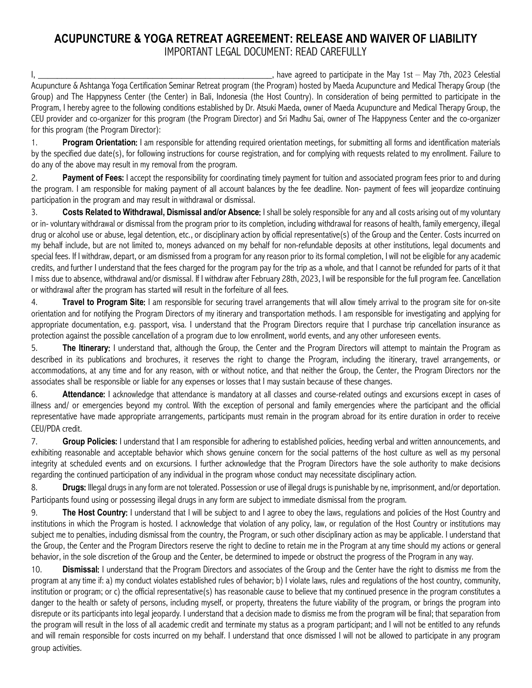## **ACUPUNCTURE & YOGA RETREAT AGREEMENT: RELEASE AND WAIVER OF LIABILITY** IMPORTANT LEGAL DOCUMENT: READ CAREFULLY

I, \_\_\_\_\_\_\_\_\_\_\_\_\_\_\_\_\_\_\_\_\_\_\_\_\_\_\_\_\_\_\_\_\_\_\_\_\_\_\_\_\_\_\_\_\_\_\_\_\_, have agreed to participate in the May 1st – May 7th, 2023 Celestial Acupuncture & Ashtanga Yoga Certification Seminar Retreat program (the Program) hosted by Maeda Acupuncture and Medical Therapy Group (the Group) and The Happyness Center (the Center) in Bali, Indonesia (the Host Country). In consideration of being permitted to participate in the Program, I hereby agree to the following conditions established by Dr. Atsuki Maeda, owner of Maeda Acupuncture and Medical Therapy Group, the CEU provider and co-organizer for this program (the Program Director) and Sri Madhu Sai, owner of The Happyness Center and the co-organizer for this program (the Program Director):

1. **Program Orientation**: I am responsible for attending required orientation meetings, for submitting all forms and identification materials by the specified due date(s), for following instructions for course registration, and for complying with requests related to my enrollment. Failure to do any of the above may result in my removal from the program.

2. **Payment of Fees**: I accept the responsibility for coordinating timely payment for tuition and associated program fees prior to and during the program. I am responsible for making payment of all account balances by the fee deadline. Non- payment of fees will jeopardize continuing participation in the program and may result in withdrawal or dismissal.

3. **Costs Related to Withdrawal, Dismissal and/or Absence**: I shall be solely responsible for any and all costs arising out of my voluntary or in- voluntary withdrawal or dismissal from the program prior to its completion, including withdrawal for reasons of health, family emergency, illegal drug or alcohol use or abuse, legal detention, etc., or disciplinary action by official representative(s) of the Group and the Center. Costs incurred on my behalf include, but are not limited to, moneys advanced on my behalf for non-refundable deposits at other institutions, legal documents and special fees. If I withdraw, depart, or am dismissed from a program for any reason prior to its formal completion, I will not be eligible for any academic credits, and further I understand that the fees charged for the program pay for the trip as a whole, and that I cannot be refunded for parts of it that I miss due to absence, withdrawal and/or dismissal. If I withdraw after February 28th, 2023, I will be responsible for the full program fee. Cancellation or withdrawal after the program has started will result in the forfeiture of all fees.

4. **Travel to Program Site**: I am responsible for securing travel arrangements that will allow timely arrival to the program site for on-site orientation and for notifying the Program Directors of my itinerary and transportation methods. I am responsible for investigating and applying for appropriate documentation, e.g. passport, visa. I understand that the Program Directors require that I purchase trip cancellation insurance as protection against the possible cancellation of a program due to low enrollment, world events, and any other unforeseen events.

5. **The Itinerary**: I understand that, although the Group, the Center and the Program Directors will attempt to maintain the Program as described in its publications and brochures, it reserves the right to change the Program, including the itinerary, travel arrangements, or accommodations, at any time and for any reason, with or without notice, and that neither the Group, the Center, the Program Directors nor the associates shall be responsible or liable for any expenses or losses that I may sustain because of these changes.

6. **Attendance**: I acknowledge that attendance is mandatory at all classes and course-related outings and excursions except in cases of illness and/ or emergencies beyond my control. With the exception of personal and family emergencies where the participant and the official representative have made appropriate arrangements, participants must remain in the program abroad for its entire duration in order to receive CEU/PDA credit.

7. **Group Policies**: I understand that I am responsible for adhering to established policies, heeding verbal and written announcements, and exhibiting reasonable and acceptable behavior which shows genuine concern for the social patterns of the host culture as well as my personal integrity at scheduled events and on excursions. I further acknowledge that the Program Directors have the sole authority to make decisions regarding the continued participation of any individual in the program whose conduct may necessitate disciplinary action.

8. **Drugs**: Illegal drugs in any form are not tolerated. Possession or use of illegal drugs is punishable by ne, imprisonment, and/or deportation. Participants found using or possessing illegal drugs in any form are subject to immediate dismissal from the program.

9. **The Host Country**: I understand that I will be subject to and I agree to obey the laws, regulations and policies of the Host Country and institutions in which the Program is hosted. I acknowledge that violation of any policy, law, or regulation of the Host Country or institutions may subject me to penalties, including dismissal from the country, the Program, or such other disciplinary action as may be applicable. I understand that the Group, the Center and the Program Directors reserve the right to decline to retain me in the Program at any time should my actions or general behavior, in the sole discretion of the Group and the Center, be determined to impede or obstruct the progress of the Program in any way.

10. **Dismissal**: I understand that the Program Directors and associates of the Group and the Center have the right to dismiss me from the program at any time if: a) my conduct violates established rules of behavior; b) I violate laws, rules and regulations of the host country, community, institution or program; or c) the official representative(s) has reasonable cause to believe that my continued presence in the program constitutes a danger to the health or safety of persons, including myself, or property, threatens the future viability of the program, or brings the program into disrepute or its participants into legal jeopardy. I understand that a decision made to dismiss me from the program will be final; that separation from the program will result in the loss of all academic credit and terminate my status as a program participant; and I will not be entitled to any refunds and will remain responsible for costs incurred on my behalf. I understand that once dismissed I will not be allowed to participate in any program group activities.